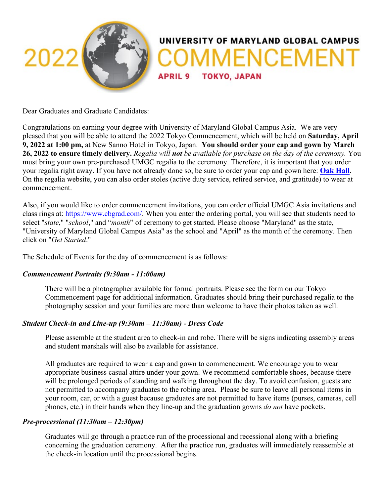

Dear Graduates and Graduate Candidates:

Congratulations on earning your degree with University of Maryland Global Campus Asia. We are very pleased that you will be able to attend the 2022 Tokyo Commencement, which will be held on **Saturday, April 9, 2022 at 1:00 pm,** at New Sanno Hotel in Tokyo, Japan. **You should order your cap and gown by March 26, 2022 to ensure timely delivery.** *Regalia will not be available for purchase on the day of the ceremony.* You must bring your own pre-purchased UMGC regalia to the ceremony. Therefore, it is important that you order your regalia right away. If you have not already done so, be sure to order your cap and gown here: **[Oak Hall](http://www.cbgrad.com/school/UMUCA)**. On the regalia website, you can also order stoles (active duty service, retired service, and gratitude) to wear at commencement.

Also, if you would like to order commencement invitations, you can order official UMGC Asia invitations and class rings at: [https://www.cbgrad.com/.](https://www.cbgrad.com/) When you enter the ordering portal, you will see that students need to select "*state*," "*school*," and "*month*" of ceremony to get started. Please choose "Maryland" as the state, "University of Maryland Global Campus Asia" as the school and "April" as the month of the ceremony. Then click on "*Get Started*."

The Schedule of Events for the day of commencement is as follows:

### *Commencement Portraits (9:30am - 11:00am)*

There will be a photographer available for formal portraits. Please see the form on our Tokyo Commencement page for additional information. Graduates should bring their purchased regalia to the photography session and your families are more than welcome to have their photos taken as well.

### *Student Check-in and Line-up (9:30am – 11:30am) - Dress Code*

Please assemble at the student area to check-in and robe. There will be signs indicating assembly areas and student marshals will also be available for assistance.

All graduates are required to wear a cap and gown to commencement. We encourage you to wear appropriate business casual attire under your gown. We recommend comfortable shoes, because there will be prolonged periods of standing and walking throughout the day. To avoid confusion, guests are not permitted to accompany graduates to the robing area. Please be sure to leave all personal items in your room, car, or with a guest because graduates are not permitted to have items (purses, cameras, cell phones, etc.) in their hands when they line-up and the graduation gowns *do not* have pockets.

### *Pre-processional (11:30am – 12:30pm)*

Graduates will go through a practice run of the processional and recessional along with a briefing concerning the graduation ceremony. After the practice run, graduates will immediately reassemble at the check-in location until the processional begins.